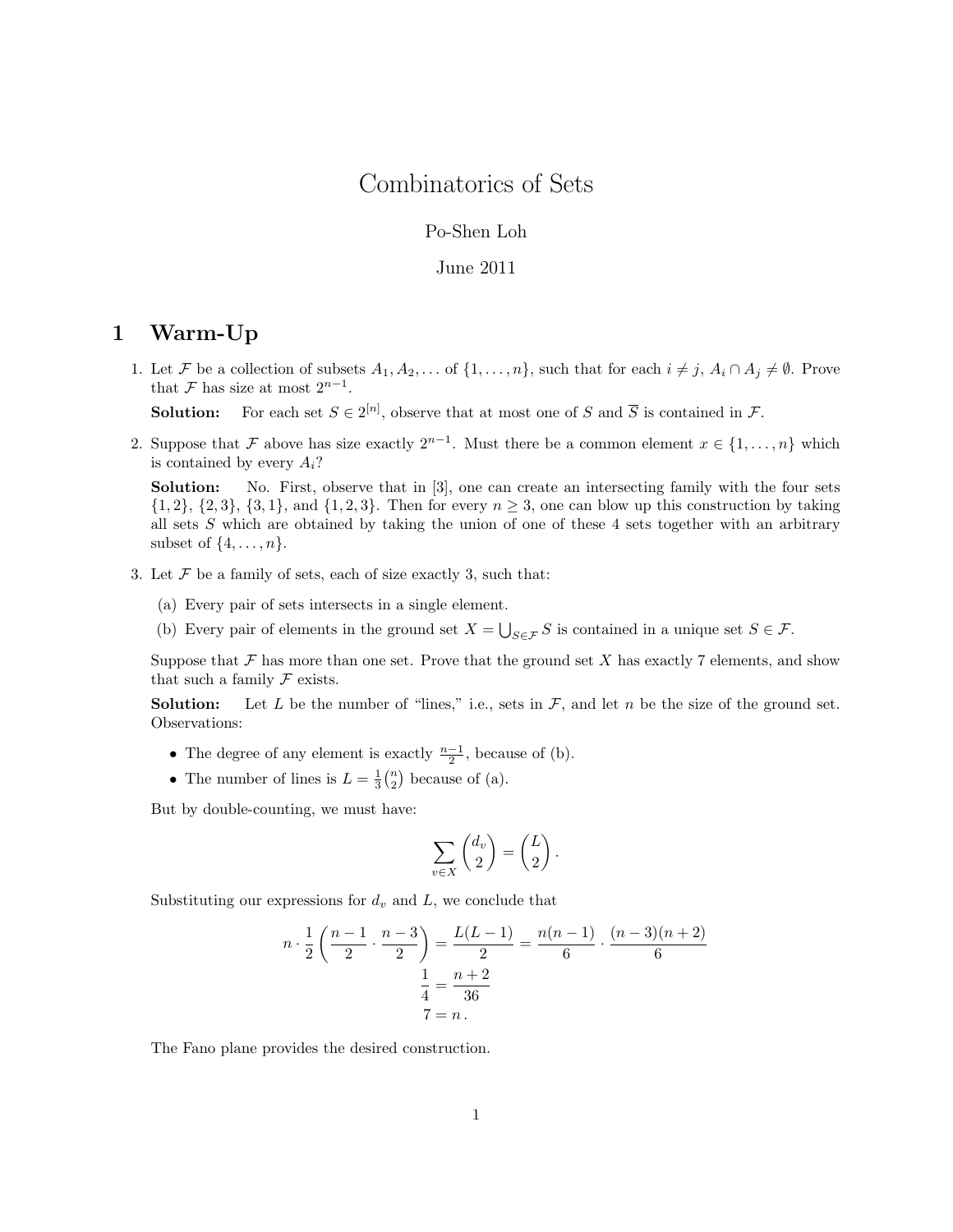# Combinatorics of Sets

#### Po-Shen Loh

#### June 2011

# 1 Warm-Up

1. Let F be a collection of subsets  $A_1, A_2, \ldots$  of  $\{1, \ldots, n\}$ , such that for each  $i \neq j$ ,  $A_i \cap A_j \neq \emptyset$ . Prove that  $\mathcal F$  has size at most  $2^{n-1}$ .

**Solution:** For each set  $S \in 2^{[n]}$ , observe that at most one of S and  $\overline{S}$  is contained in F.

2. Suppose that F above has size exactly  $2^{n-1}$ . Must there be a common element  $x \in \{1, ..., n\}$  which is contained by every  $A_i$ ?

Solution: No. First, observe that in [3], one can create an intersecting family with the four sets  $\{1, 2\}, \{2, 3\}, \{3, 1\}, \text{ and } \{1, 2, 3\}.$  Then for every  $n \geq 3$ , one can blow up this construction by taking all sets S which are obtained by taking the union of one of these 4 sets together with an arbitrary subset of  $\{4, \ldots, n\}$ .

- 3. Let  $\mathcal F$  be a family of sets, each of size exactly 3, such that:
	- (a) Every pair of sets intersects in a single element.
	- (b) Every pair of elements in the ground set  $X = \bigcup_{S \in \mathcal{F}} S$  is contained in a unique set  $S \in \mathcal{F}$ .

Suppose that  $\mathcal F$  has more than one set. Prove that the ground set X has exactly 7 elements, and show that such a family  $\mathcal F$  exists.

**Solution:** Let L be the number of "lines," i.e., sets in  $\mathcal{F}$ , and let n be the size of the ground set. Observations:

- The degree of any element is exactly  $\frac{n-1}{2}$ , because of (b).
- The number of lines is  $L = \frac{1}{3} {n \choose 2}$  because of (a).

But by double-counting, we must have:

$$
\sum_{v \in X} \binom{d_v}{2} = \binom{L}{2} \, .
$$

Substituting our expressions for  $d_v$  and  $L$ , we conclude that

$$
n \cdot \frac{1}{2} \left( \frac{n-1}{2} \cdot \frac{n-3}{2} \right) = \frac{L(L-1)}{2} = \frac{n(n-1)}{6} \cdot \frac{(n-3)(n+2)}{6}
$$

$$
\frac{1}{4} = \frac{n+2}{36}
$$

$$
7 = n.
$$

The Fano plane provides the desired construction.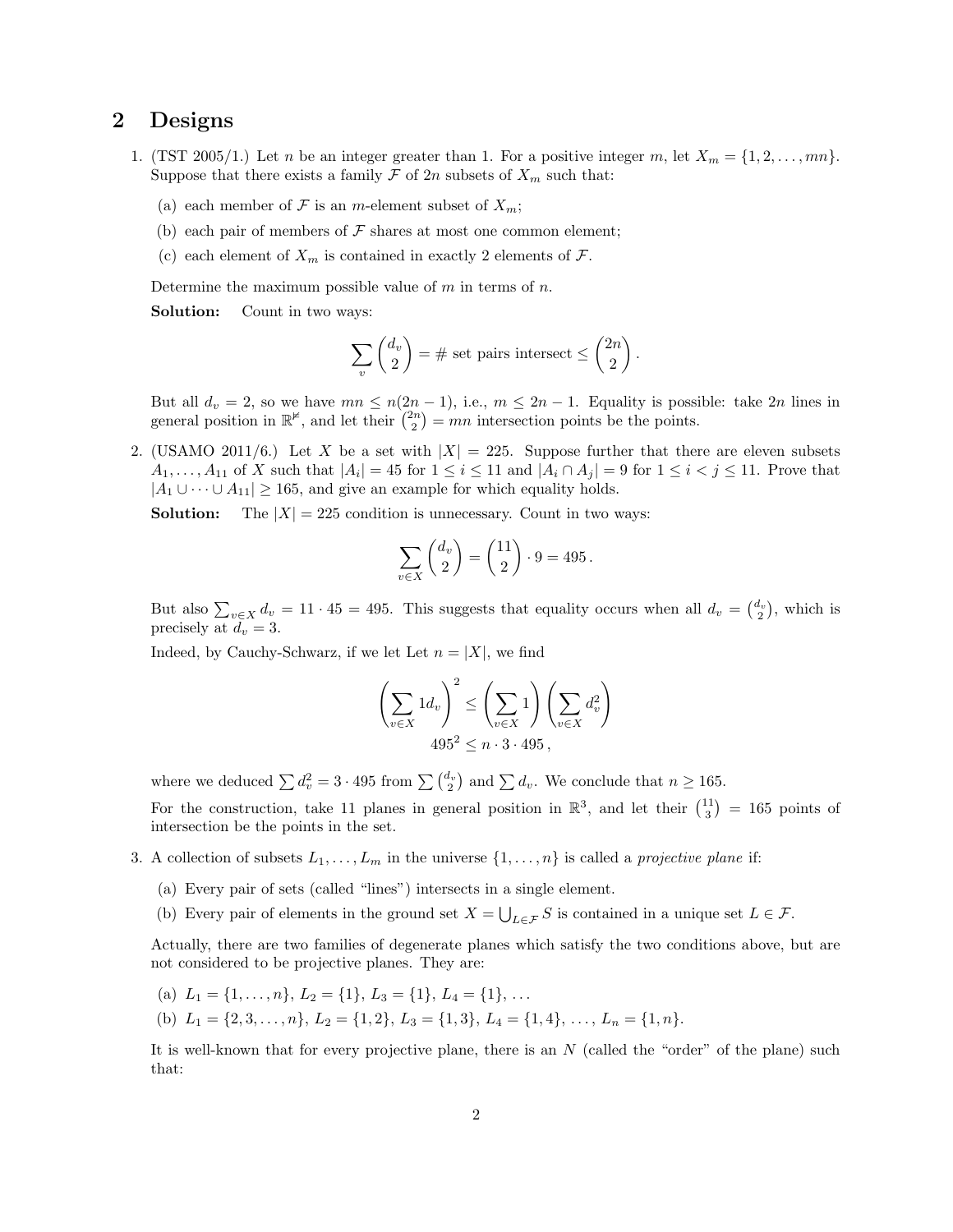### 2 Designs

- 1. (TST 2005/1.) Let n be an integer greater than 1. For a positive integer m, let  $X_m = \{1, 2, \ldots, mn\}$ . Suppose that there exists a family  $\mathcal F$  of  $2n$  subsets of  $X_m$  such that:
	- (a) each member of F is an m-element subset of  $X_m$ ;
	- (b) each pair of members of  $\mathcal F$  shares at most one common element;
	- (c) each element of  $X_m$  is contained in exactly 2 elements of  $\mathcal{F}$ .

Determine the maximum possible value of  $m$  in terms of  $n$ .

Solution: Count in two ways:

$$
\sum_{v} \binom{d_v}{2} = \# \text{ set pairs intersect} \le \binom{2n}{2}.
$$

But all  $d_v = 2$ , so we have  $mn \leq n(2n-1)$ , i.e.,  $m \leq 2n-1$ . Equality is possible: take  $2n$  lines in general position in  $\mathbb{R}^{\nvDash}$ , and let their  $\binom{2n}{2} = mn$  intersection points be the points.

2. (USAMO 2011/6.) Let X be a set with  $|X| = 225$ . Suppose further that there are eleven subsets  $A_1, \ldots, A_{11}$  of X such that  $|A_i| = 45$  for  $1 \leq i \leq 11$  and  $|A_i \cap A_j| = 9$  for  $1 \leq i < j \leq 11$ . Prove that  $|A_1 \cup \cdots \cup A_{11}| \geq 165$ , and give an example for which equality holds.

**Solution:** The  $|X| = 225$  condition is unnecessary. Count in two ways:

$$
\sum_{v \in X} \binom{d_v}{2} = \binom{11}{2} \cdot 9 = 495.
$$

But also  $\sum_{v \in X} d_v = 11 \cdot 45 = 495$ . This suggests that equality occurs when all  $d_v = \begin{pmatrix} d_v \\ 2 \end{pmatrix}$ , which is precisely at  $d_v = 3$ .

Indeed, by Cauchy-Schwarz, if we let Let  $n = |X|$ , we find

$$
\left(\sum_{v \in X} 1 d_v\right)^2 \le \left(\sum_{v \in X} 1\right) \left(\sum_{v \in X} d_v^2\right)
$$
  
495<sup>2</sup> \le n \cdot 3 \cdot 495,

where we deduced  $\sum d_v^2 = 3 \cdot 495$  from  $\sum \binom{d_v}{2}$  and  $\sum d_v$ . We conclude that  $n \ge 165$ .

For the construction, take 11 planes in general position in  $\mathbb{R}^3$ , and let their  $\binom{11}{3} = 165$  points of intersection be the points in the set.

- 3. A collection of subsets  $L_1, \ldots, L_m$  in the universe  $\{1, \ldots, n\}$  is called a *projective plane* if:
	- (a) Every pair of sets (called "lines") intersects in a single element.
	- (b) Every pair of elements in the ground set  $X = \bigcup_{L \in \mathcal{F}} S$  is contained in a unique set  $L \in \mathcal{F}$ .

Actually, there are two families of degenerate planes which satisfy the two conditions above, but are not considered to be projective planes. They are:

- (a)  $L_1 = \{1, \ldots, n\}, L_2 = \{1\}, L_3 = \{1\}, L_4 = \{1\}, \ldots$
- (b)  $L_1 = \{2, 3, \ldots, n\}, L_2 = \{1, 2\}, L_3 = \{1, 3\}, L_4 = \{1, 4\}, \ldots, L_n = \{1, n\}.$

It is well-known that for every projective plane, there is an  $N$  (called the "order" of the plane) such that: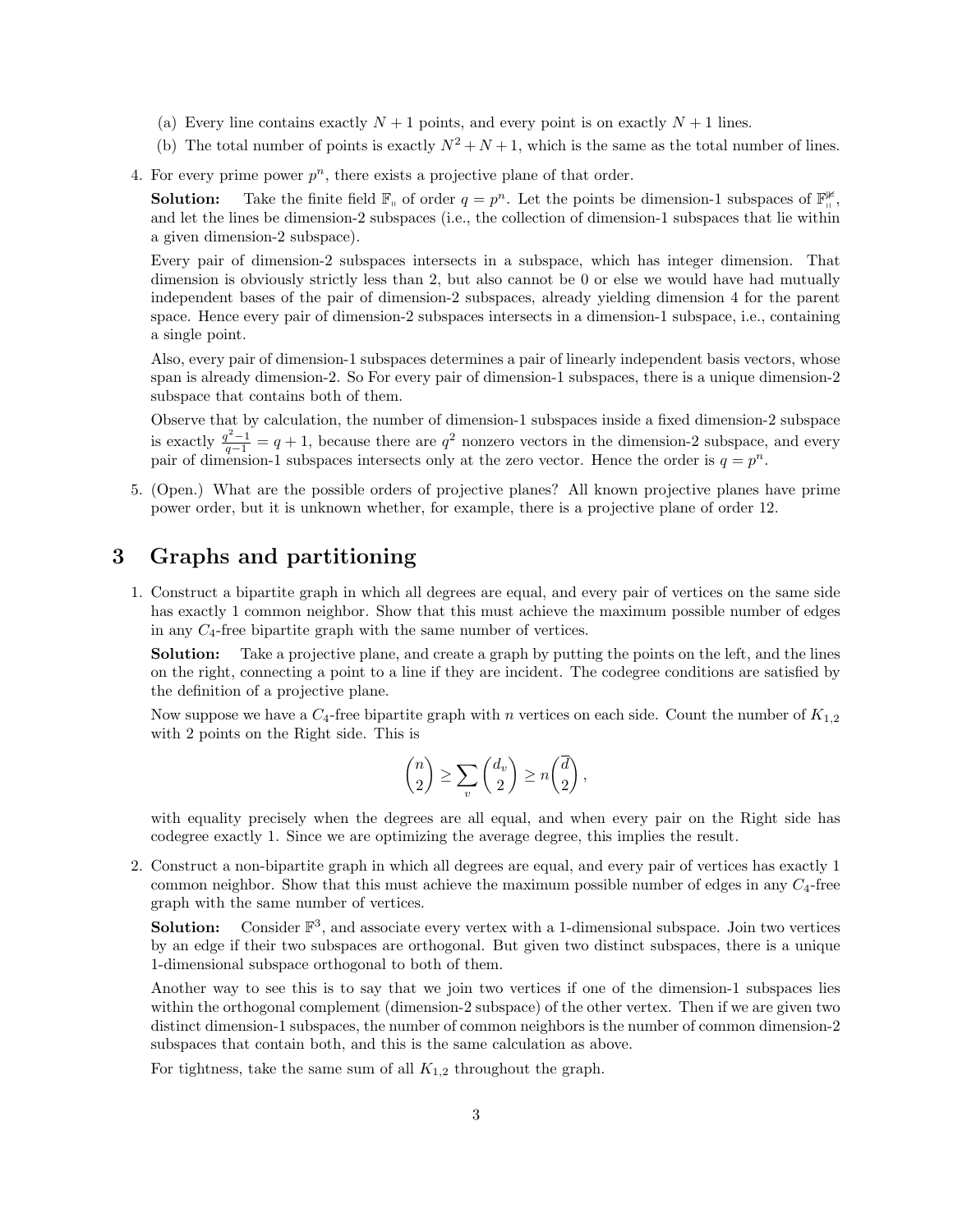- (a) Every line contains exactly  $N + 1$  points, and every point is on exactly  $N + 1$  lines.
- (b) The total number of points is exactly  $N^2 + N + 1$ , which is the same as the total number of lines.
- 4. For every prime power  $p^n$ , there exists a projective plane of that order.

**Solution:** Take the finite field  $\mathbb{F}_{\theta}$  of order  $q = p^n$ . Let the points be dimension-1 subspaces of  $\mathbb{F}_{\theta}^{\#}$ , and let the lines be dimension-2 subspaces (i.e., the collection of dimension-1 subspaces that lie within a given dimension-2 subspace).

Every pair of dimension-2 subspaces intersects in a subspace, which has integer dimension. That dimension is obviously strictly less than 2, but also cannot be 0 or else we would have had mutually independent bases of the pair of dimension-2 subspaces, already yielding dimension 4 for the parent space. Hence every pair of dimension-2 subspaces intersects in a dimension-1 subspace, i.e., containing a single point.

Also, every pair of dimension-1 subspaces determines a pair of linearly independent basis vectors, whose span is already dimension-2. So For every pair of dimension-1 subspaces, there is a unique dimension-2 subspace that contains both of them.

Observe that by calculation, the number of dimension-1 subspaces inside a fixed dimension-2 subspace is exactly  $\frac{q^2-1}{q-1} = q+1$ , because there are  $q^2$  nonzero vectors in the dimension-2 subspace, and every pair of dimension-1 subspaces intersects only at the zero vector. Hence the order is  $q = p^n$ .

5. (Open.) What are the possible orders of projective planes? All known projective planes have prime power order, but it is unknown whether, for example, there is a projective plane of order 12.

# 3 Graphs and partitioning

1. Construct a bipartite graph in which all degrees are equal, and every pair of vertices on the same side has exactly 1 common neighbor. Show that this must achieve the maximum possible number of edges in any  $C_4$ -free bipartite graph with the same number of vertices.

Solution: Take a projective plane, and create a graph by putting the points on the left, and the lines on the right, connecting a point to a line if they are incident. The codegree conditions are satisfied by the definition of a projective plane.

Now suppose we have a  $C_4$ -free bipartite graph with n vertices on each side. Count the number of  $K_{1,2}$ with 2 points on the Right side. This is

$$
\binom{n}{2} \ge \sum_{v} \binom{d_v}{2} \ge n \binom{\overline{d}}{2},
$$

with equality precisely when the degrees are all equal, and when every pair on the Right side has codegree exactly 1. Since we are optimizing the average degree, this implies the result.

2. Construct a non-bipartite graph in which all degrees are equal, and every pair of vertices has exactly 1 common neighbor. Show that this must achieve the maximum possible number of edges in any  $C_4$ -free graph with the same number of vertices.

**Solution:** Consider  $\mathbb{F}^3$ , and associate every vertex with a 1-dimensional subspace. Join two vertices by an edge if their two subspaces are orthogonal. But given two distinct subspaces, there is a unique 1-dimensional subspace orthogonal to both of them.

Another way to see this is to say that we join two vertices if one of the dimension-1 subspaces lies within the orthogonal complement (dimension-2 subspace) of the other vertex. Then if we are given two distinct dimension-1 subspaces, the number of common neighbors is the number of common dimension-2 subspaces that contain both, and this is the same calculation as above.

For tightness, take the same sum of all  $K_{1,2}$  throughout the graph.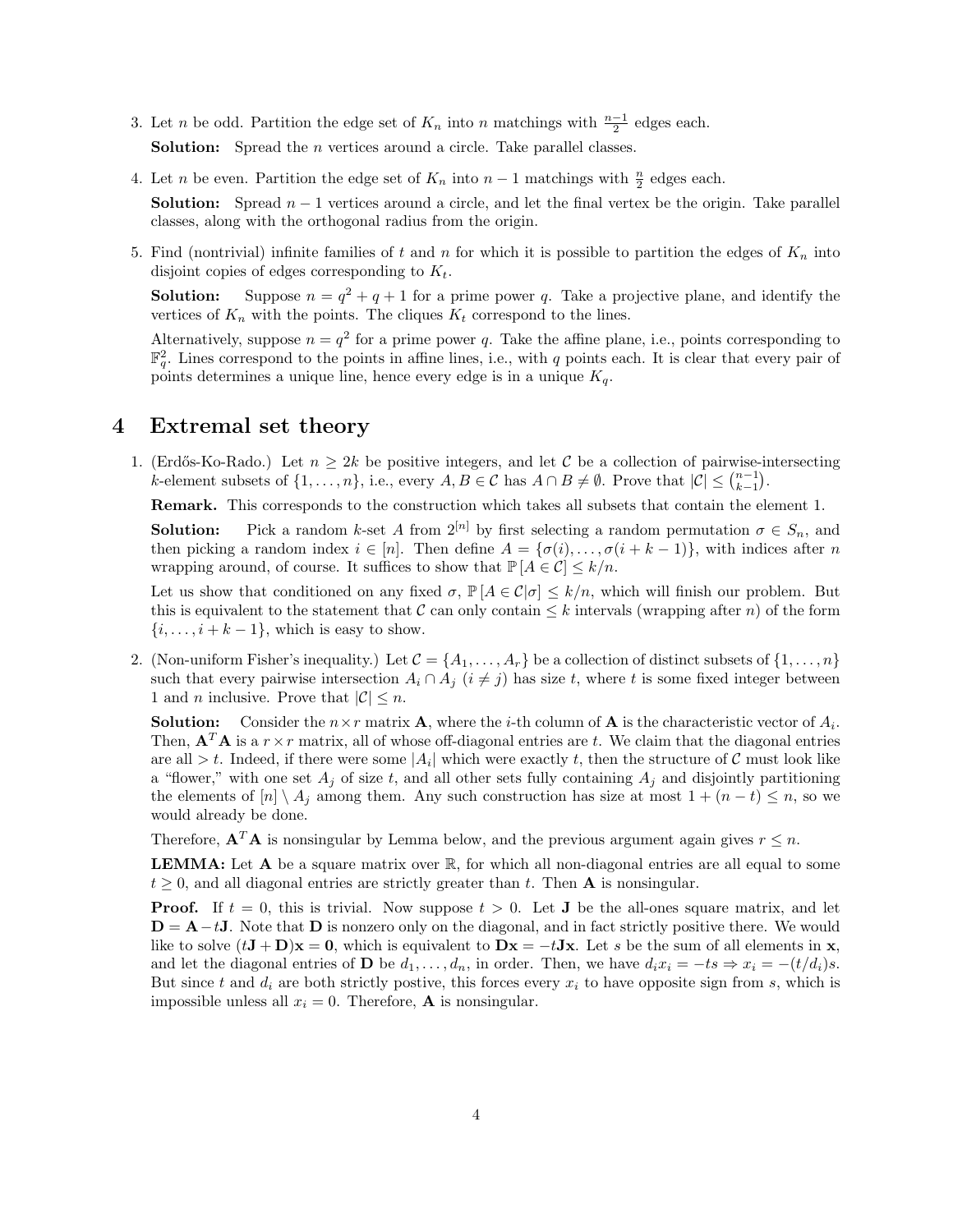- 3. Let *n* be odd. Partition the edge set of  $K_n$  into *n* matchings with  $\frac{n-1}{2}$  edges each. **Solution:** Spread the *n* vertices around a circle. Take parallel classes.
- 4. Let *n* be even. Partition the edge set of  $K_n$  into  $n-1$  matchings with  $\frac{n}{2}$  edges each. **Solution:** Spread  $n - 1$  vertices around a circle, and let the final vertex be the origin. Take parallel classes, along with the orthogonal radius from the origin.
- 5. Find (nontrivial) infinite families of t and n for which it is possible to partition the edges of  $K_n$  into disjoint copies of edges corresponding to  $K_t$ .

**Solution:** Suppose  $n = q^2 + q + 1$  for a prime power q. Take a projective plane, and identify the vertices of  $K_n$  with the points. The cliques  $K_t$  correspond to the lines.

Alternatively, suppose  $n = q^2$  for a prime power q. Take the affine plane, i.e., points corresponding to  $\mathbb{F}_q^2$ . Lines correspond to the points in affine lines, i.e., with q points each. It is clear that every pair of points determines a unique line, hence every edge is in a unique  $K_q$ .

## 4 Extremal set theory

1. (Erdős-Ko-Rado.) Let  $n \geq 2k$  be positive integers, and let C be a collection of pairwise-intersecting k-element subsets of  $\{1,\ldots,n\}$ , i.e., every  $A, B \in \mathcal{C}$  has  $A \cap B \neq \emptyset$ . Prove that  $|\mathcal{C}| \leq {n-1 \choose k-1}$ .

Remark. This corresponds to the construction which takes all subsets that contain the element 1.

**Solution:** Pick a random k-set A from  $2^{[n]}$  by first selecting a random permutation  $\sigma \in S_n$ , and then picking a random index  $i \in [n]$ . Then define  $A = {\sigma(i), \ldots, \sigma(i+k-1)}$ , with indices after n wrapping around, of course. It suffices to show that  $\mathbb{P}[A \in \mathcal{C}] \leq k/n$ .

Let us show that conditioned on any fixed  $\sigma$ ,  $\mathbb{P}[A \in \mathcal{C} | \sigma] \leq k/n$ , which will finish our problem. But this is equivalent to the statement that C can only contain  $\leq k$  intervals (wrapping after n) of the form  $\{i, \ldots, i + k - 1\}$ , which is easy to show.

2. (Non-uniform Fisher's inequality.) Let  $\mathcal{C} = \{A_1, \ldots, A_r\}$  be a collection of distinct subsets of  $\{1, \ldots, n\}$ such that every pairwise intersection  $A_i \cap A_j$  ( $i \neq j$ ) has size t, where t is some fixed integer between 1 and *n* inclusive. Prove that  $|\mathcal{C}| \leq n$ .

**Solution:** Consider the  $n \times r$  matrix **A**, where the *i*-th column of **A** is the characteristic vector of  $A_i$ . Then,  $\mathbf{A}^T \mathbf{A}$  is a  $r \times r$  matrix, all of whose off-diagonal entries are t. We claim that the diagonal entries are all  $>t$ . Indeed, if there were some  $|A_i|$  which were exactly t, then the structure of C must look like a "flower," with one set  $A_j$  of size t, and all other sets fully containing  $A_j$  and disjointly partitioning the elements of  $[n] \setminus A_j$  among them. Any such construction has size at most  $1 + (n - t) \leq n$ , so we would already be done.

Therefore,  $\mathbf{A}^T \mathbf{A}$  is nonsingular by Lemma below, and the previous argument again gives  $r \leq n$ .

LEMMA: Let A be a square matrix over R, for which all non-diagonal entries are all equal to some  $t > 0$ , and all diagonal entries are strictly greater than t. Then **A** is nonsingular.

**Proof.** If  $t = 0$ , this is trivial. Now suppose  $t > 0$ . Let **J** be the all-ones square matrix, and let  $D = A - tJ$ . Note that D is nonzero only on the diagonal, and in fact strictly positive there. We would like to solve  $(t\mathbf{J} + \mathbf{D})\mathbf{x} = \mathbf{0}$ , which is equivalent to  $\mathbf{D}\mathbf{x} = -t\mathbf{J}\mathbf{x}$ . Let s be the sum of all elements in x, and let the diagonal entries of **D** be  $d_1, \ldots, d_n$ , in order. Then, we have  $d_i x_i = -ts \Rightarrow x_i = -(t/d_i)s$ . But since t and  $d_i$  are both strictly postive, this forces every  $x_i$  to have opposite sign from s, which is impossible unless all  $x_i = 0$ . Therefore, **A** is nonsingular.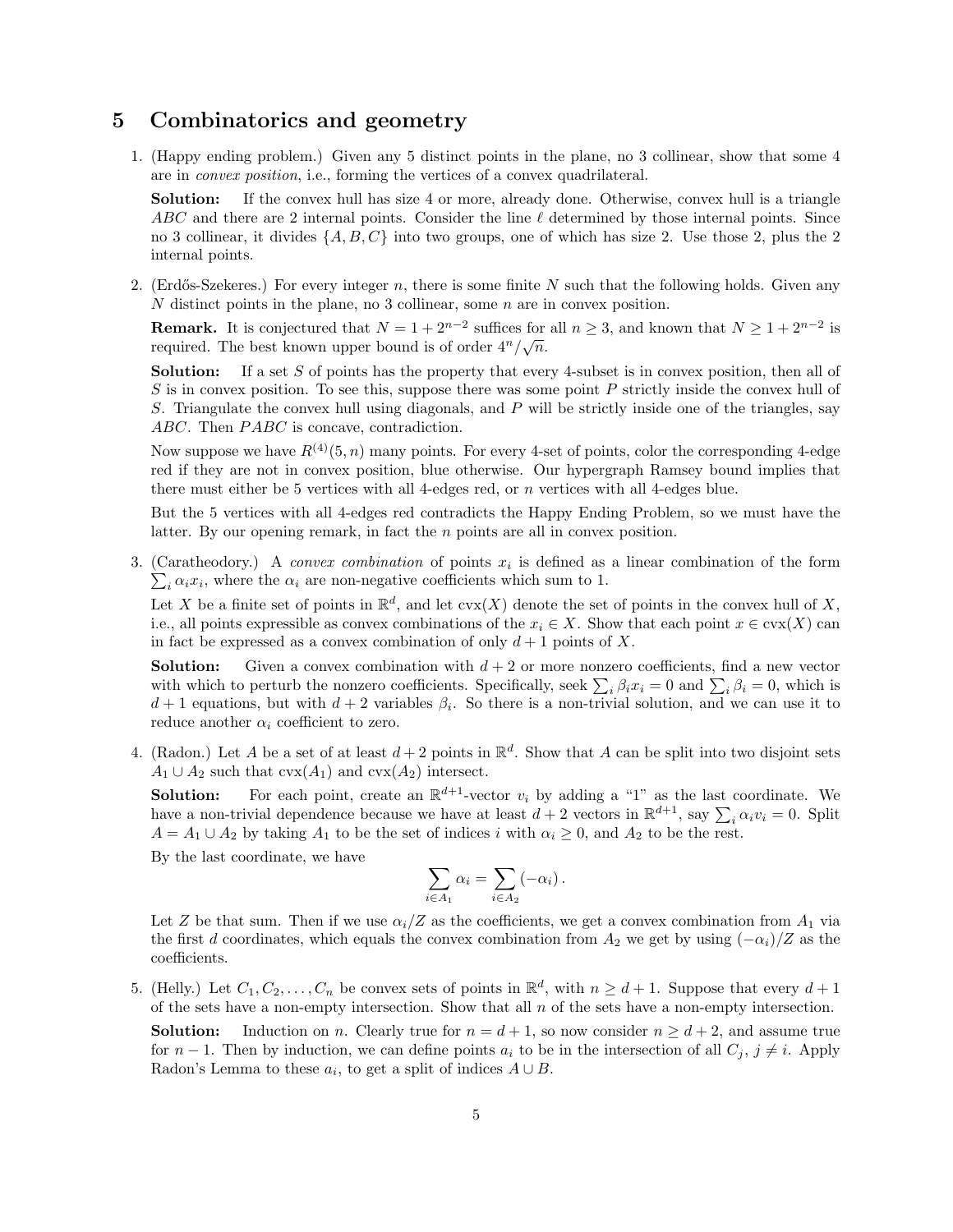## 5 Combinatorics and geometry

1. (Happy ending problem.) Given any 5 distinct points in the plane, no 3 collinear, show that some 4 are in convex position, i.e., forming the vertices of a convex quadrilateral.

Solution: If the convex hull has size 4 or more, already done. Otherwise, convex hull is a triangle ABC and there are 2 internal points. Consider the line  $\ell$  determined by those internal points. Since no 3 collinear, it divides  $\{A, B, C\}$  into two groups, one of which has size 2. Use those 2, plus the 2 internal points.

2. (Erdős-Szekeres.) For every integer n, there is some finite N such that the following holds. Given any N distinct points in the plane, no 3 collinear, some n are in convex position.

**Remark.** It is conjectured that  $N = 1 + 2^{n-2}$  suffices for all  $n \ge 3$ , and known that  $N \ge 1 + 2^{n-2}$  is required. The best known upper bound is of order  $4^n/\sqrt{n}$ .

Solution: If a set S of points has the property that every 4-subset is in convex position, then all of  $S$  is in convex position. To see this, suppose there was some point  $P$  strictly inside the convex hull of S. Triangulate the convex hull using diagonals, and P will be strictly inside one of the triangles, say ABC. Then PABC is concave, contradiction.

Now suppose we have  $R^{(4)}(5, n)$  many points. For every 4-set of points, color the corresponding 4-edge red if they are not in convex position, blue otherwise. Our hypergraph Ramsey bound implies that there must either be 5 vertices with all 4-edges red, or n vertices with all 4-edges blue.

But the 5 vertices with all 4-edges red contradicts the Happy Ending Problem, so we must have the latter. By our opening remark, in fact the n points are all in convex position.

3. (Caratheodory.) A *convex combination* of points  $x_i$  is defined as a linear combination of the form  $\sum_i \alpha_i x_i$ , where the  $\alpha_i$  are non-negative coefficients which sum to 1.

Let X be a finite set of points in  $\mathbb{R}^d$ , and let  $\text{cvx}(X)$  denote the set of points in the convex hull of X, i.e., all points expressible as convex combinations of the  $x_i \in X$ . Show that each point  $x \in \text{cvx}(X)$  can in fact be expressed as a convex combination of only  $d+1$  points of X.

**Solution:** Given a convex combination with  $d + 2$  or more nonzero coefficients, find a new vector with which to perturb the nonzero coefficients. Specifically, seek  $\sum_i \beta_i x_i = 0$  and  $\sum_i \beta_i = 0$ , which is  $d+1$  equations, but with  $d+2$  variables  $\beta_i$ . So there is a non-trivial solution, and we can use it to reduce another  $\alpha_i$  coefficient to zero.

4. (Radon.) Let A be a set of at least  $d+2$  points in  $\mathbb{R}^d$ . Show that A can be split into two disjoint sets  $A_1 \cup A_2$  such that  $\text{cvx}(A_1)$  and  $\text{cvx}(A_2)$  intersect.

**Solution:** For each point, create an  $\mathbb{R}^{d+1}$ -vector  $v_i$  by adding a "1" as the last coordinate. We have a non-trivial dependence because we have at least  $d+2$  vectors in  $\mathbb{R}^{d+1}$ , say  $\sum_i \alpha_i v_i = 0$ . Split  $A = A_1 \cup A_2$  by taking  $A_1$  to be the set of indices i with  $\alpha_i \geq 0$ , and  $A_2$  to be the rest.

By the last coordinate, we have

$$
\sum_{i \in A_1} \alpha_i = \sum_{i \in A_2} (-\alpha_i).
$$

Let Z be that sum. Then if we use  $\alpha_i/Z$  as the coefficients, we get a convex combination from  $A_1$  via the first d coordinates, which equals the convex combination from  $A_2$  we get by using  $(-\alpha_i)/Z$  as the coefficients.

5. (Helly.) Let  $C_1, C_2, \ldots, C_n$  be convex sets of points in  $\mathbb{R}^d$ , with  $n \geq d+1$ . Suppose that every  $d+1$ of the sets have a non-empty intersection. Show that all  $n$  of the sets have a non-empty intersection.

**Solution:** Induction on n. Clearly true for  $n = d + 1$ , so now consider  $n \geq d + 2$ , and assume true for  $n-1$ . Then by induction, we can define points  $a_i$  to be in the intersection of all  $C_j$ ,  $j \neq i$ . Apply Radon's Lemma to these  $a_i$ , to get a split of indices  $A \cup B$ .